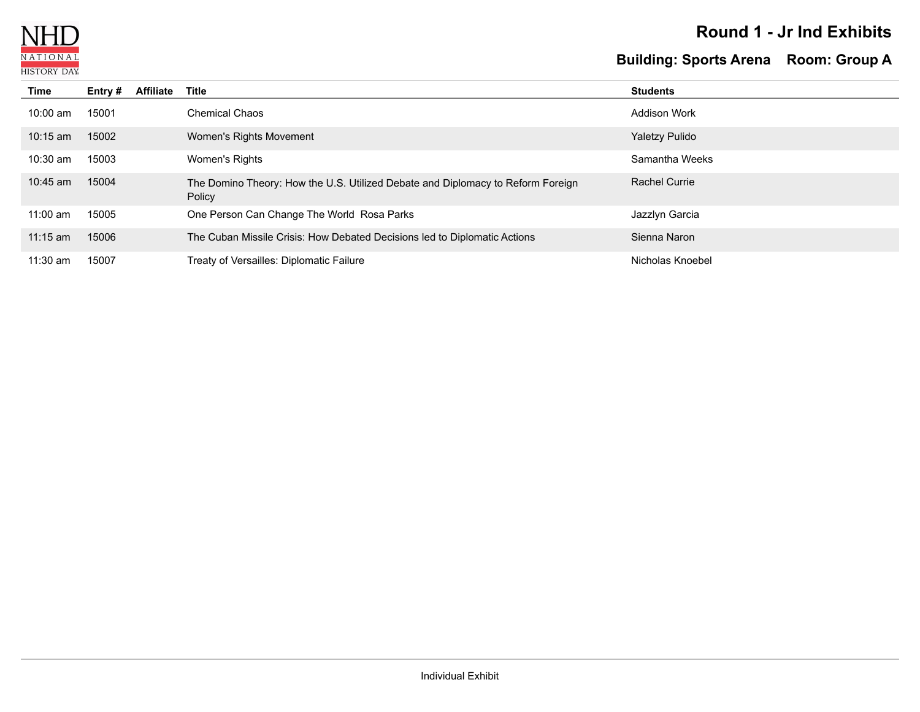

### **Round 1 - Jr Ind Exhibits**

# **Building: Sports Arena Room: Group A**

| Time       | Entry $#$ | <b>Affiliate</b> | Title                                                                                     | <b>Students</b>     |
|------------|-----------|------------------|-------------------------------------------------------------------------------------------|---------------------|
| $10:00$ am | 15001     |                  | <b>Chemical Chaos</b>                                                                     | <b>Addison Work</b> |
| $10:15$ am | 15002     |                  | Women's Rights Movement                                                                   | Yaletzy Pulido      |
| $10:30$ am | 15003     |                  | Women's Rights                                                                            | Samantha Weeks      |
| $10:45$ am | 15004     |                  | The Domino Theory: How the U.S. Utilized Debate and Diplomacy to Reform Foreign<br>Policy | Rachel Currie       |
| $11:00$ am | 15005     |                  | One Person Can Change The World Rosa Parks                                                | Jazzlyn Garcia      |
| $11:15$ am | 15006     |                  | The Cuban Missile Crisis: How Debated Decisions led to Diplomatic Actions                 | Sienna Naron        |
| $11:30$ am | 15007     |                  | Treaty of Versailles: Diplomatic Failure                                                  | Nicholas Knoebel    |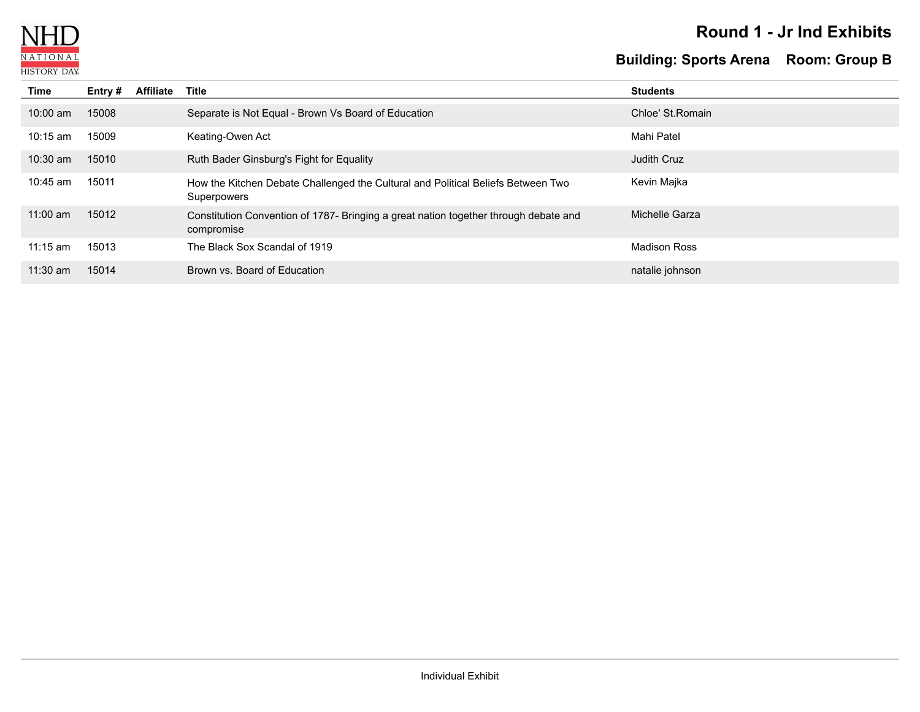

### **Round 1 - Jr Ind Exhibits**

## **Building: Sports Arena Room: Group B**

| Time       | Entry # | <b>Affiliate</b> | Title                                                                                              | <b>Students</b>     |
|------------|---------|------------------|----------------------------------------------------------------------------------------------------|---------------------|
| $10:00$ am | 15008   |                  | Separate is Not Equal - Brown Vs Board of Education                                                | Chloe' St. Romain   |
| $10:15$ am | 15009   |                  | Keating-Owen Act                                                                                   | Mahi Patel          |
| $10:30$ am | 15010   |                  | Ruth Bader Ginsburg's Fight for Equality                                                           | <b>Judith Cruz</b>  |
| $10:45$ am | 15011   |                  | How the Kitchen Debate Challenged the Cultural and Political Beliefs Between Two<br>Superpowers    | Kevin Majka         |
| $11:00$ am | 15012   |                  | Constitution Convention of 1787- Bringing a great nation together through debate and<br>compromise | Michelle Garza      |
| $11:15$ am | 15013   |                  | The Black Sox Scandal of 1919                                                                      | <b>Madison Ross</b> |
| $11:30$ am | 15014   |                  | Brown vs. Board of Education                                                                       | natalie johnson     |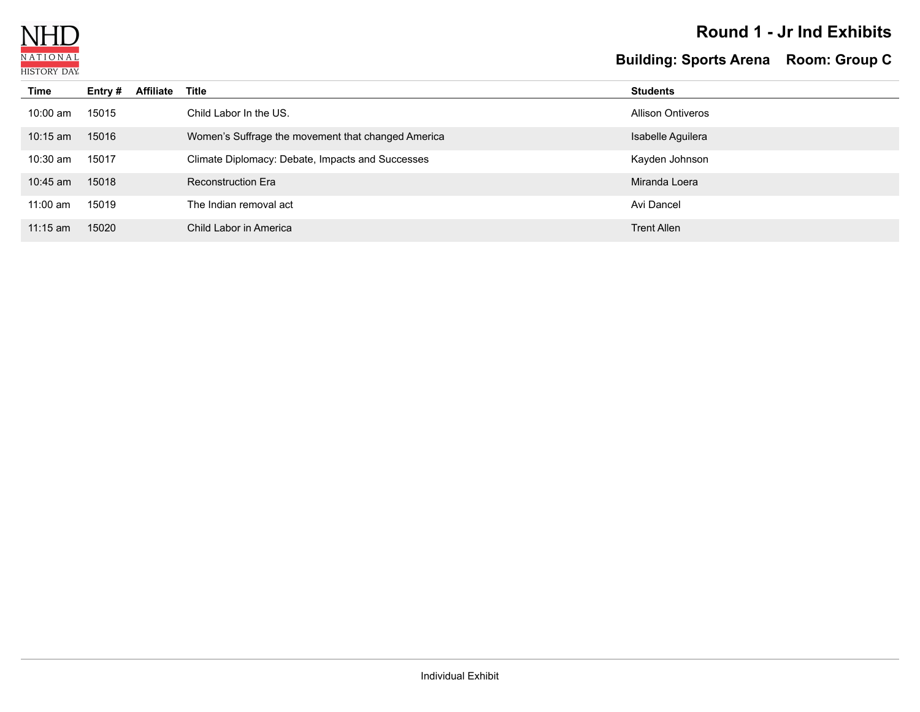

### **Round 1 - Jr Ind Exhibits**

## **Building: Sports Arena Room: Group C**

| Time       | Entry # | <b>Affiliate</b> | Title                                              | <b>Students</b>          |
|------------|---------|------------------|----------------------------------------------------|--------------------------|
| $10:00$ am | 15015   |                  | Child Labor In the US.                             | <b>Allison Ontiveros</b> |
| $10:15$ am | 15016   |                  | Women's Suffrage the movement that changed America | Isabelle Aguilera        |
| $10:30$ am | 15017   |                  | Climate Diplomacy: Debate, Impacts and Successes   | Kayden Johnson           |
| 10:45 am   | 15018   |                  | <b>Reconstruction Era</b>                          | Miranda Loera            |
| $11:00$ am | 15019   |                  | The Indian removal act                             | Avi Dancel               |
| $11:15$ am | 15020   |                  | Child Labor in America                             | <b>Trent Allen</b>       |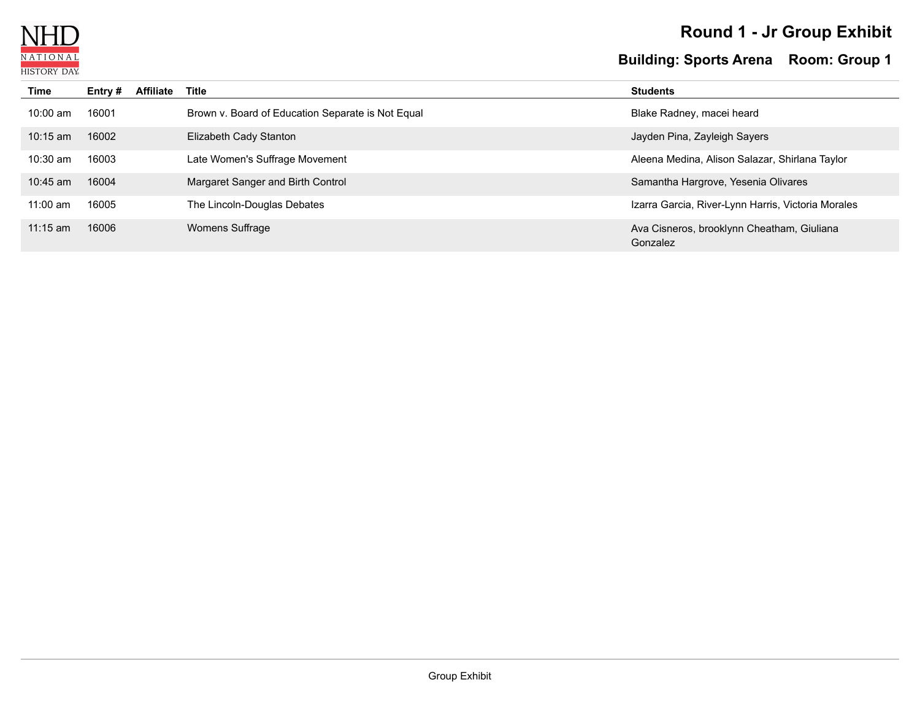

# **Round 1 - Jr Group Exhibit**

#### **Building: Sports Arena Room: Group 1**

| <b>Time</b> | Entry # | <b>Affiliate</b> | <b>Title</b>                                      | <b>Students</b>                                        |
|-------------|---------|------------------|---------------------------------------------------|--------------------------------------------------------|
| $10:00$ am  | 16001   |                  | Brown v. Board of Education Separate is Not Equal | Blake Radney, macei heard                              |
| $10:15$ am  | 16002   |                  | Elizabeth Cady Stanton                            | Jayden Pina, Zayleigh Sayers                           |
| $10:30$ am  | 16003   |                  | Late Women's Suffrage Movement                    | Aleena Medina, Alison Salazar, Shirlana Taylor         |
| $10:45$ am  | 16004   |                  | Margaret Sanger and Birth Control                 | Samantha Hargrove, Yesenia Olivares                    |
| $11:00$ am  | 16005   |                  | The Lincoln-Douglas Debates                       | Izarra Garcia, River-Lynn Harris, Victoria Morales     |
| $11:15$ am  | 16006   |                  | Womens Suffrage                                   | Ava Cisneros, brooklynn Cheatham, Giuliana<br>Gonzalez |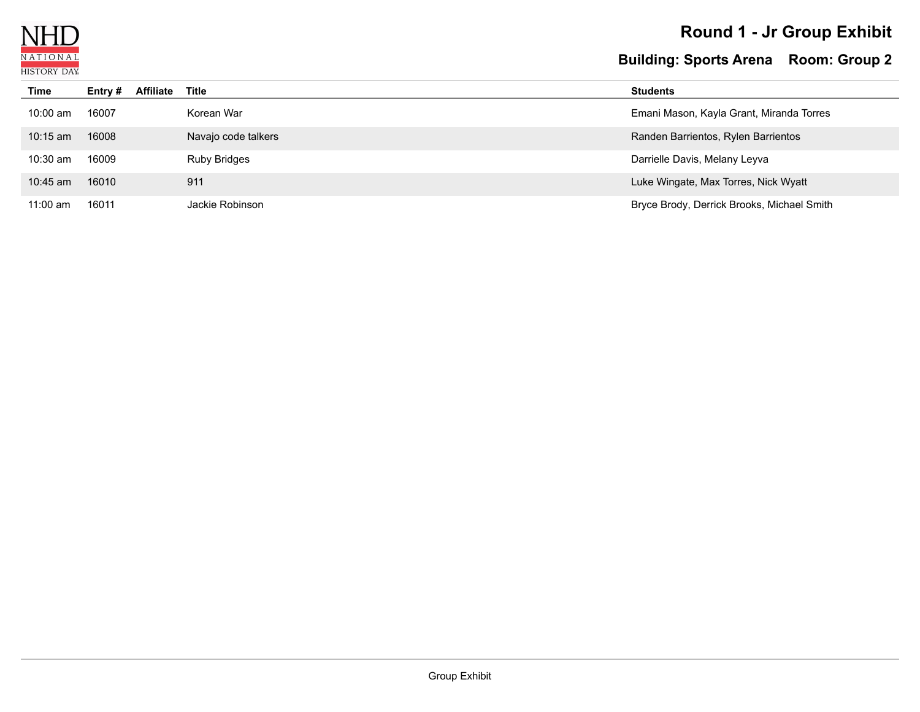

# **Round 1 - Jr Group Exhibit**

#### **Building: Sports Arena Room: Group 2**

| Time       | Entry # | <b>Affiliate</b> | Title               | <b>Students</b>                            |
|------------|---------|------------------|---------------------|--------------------------------------------|
| $10:00$ am | 16007   |                  | Korean War          | Emani Mason, Kayla Grant, Miranda Torres   |
| $10:15$ am | 16008   |                  | Navajo code talkers | Randen Barrientos, Rylen Barrientos        |
| $10:30$ am | 16009   |                  | <b>Ruby Bridges</b> | Darrielle Davis, Melany Leyva              |
| $10:45$ am | 16010   |                  | 911                 | Luke Wingate, Max Torres, Nick Wyatt       |
| $11:00$ am | 16011   |                  | Jackie Robinson     | Bryce Brody, Derrick Brooks, Michael Smith |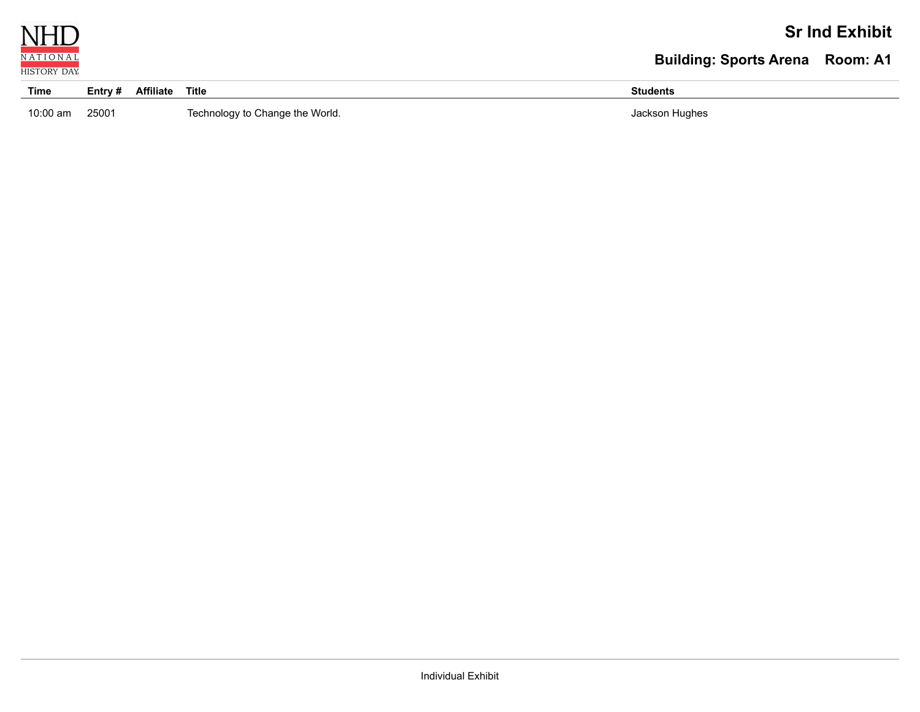

### **Sr Ind Exhibit**

## **Building: Sports Arena Room: A1**

| Time       | $E$ ntry # | <b>Affiliate</b> | <b>Title</b>                    | Student: |
|------------|------------|------------------|---------------------------------|----------|
|            |            |                  |                                 | Hughes   |
| $10:00$ am | 25001      |                  | Technology to Change the World. | lackson  |
|            |            |                  |                                 |          |